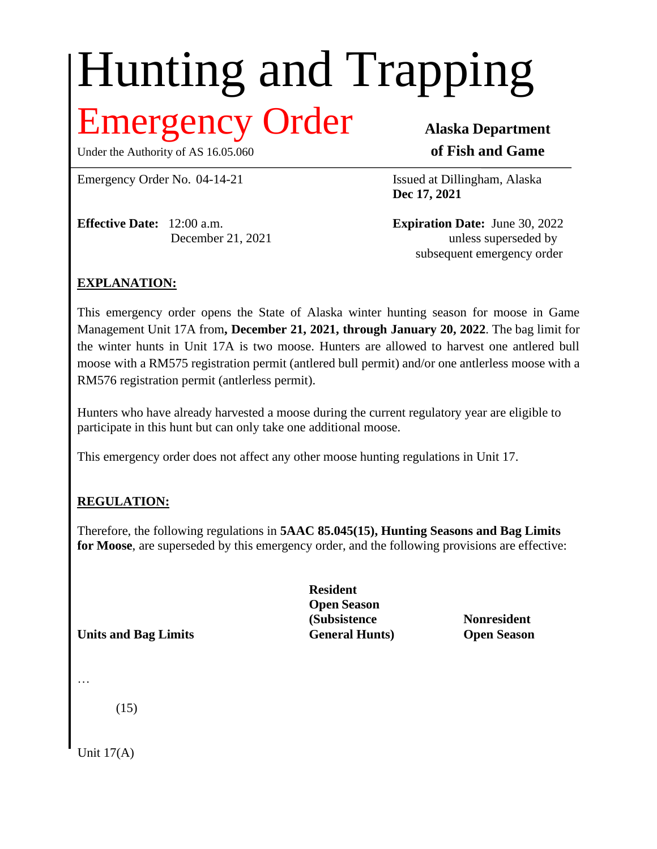# Hunting and Trapping

## Emergency Order **Alaska Department**

Under the Authority of AS 16.05.060 **of Fish and Game**

Emergency Order No. 04-14-21 Issued at Dillingham, Alaska

**Effective Date:** 12:00 a.m. **Expiration Date:** June 30, 2022

**Dec 17, 2021**

December 21, 2021 unless superseded by subsequent emergency order

### **EXPLANATION:**

This emergency order opens the State of Alaska winter hunting season for moose in Game Management Unit 17A from**, December 21, 2021, through January 20, 2022**. The bag limit for the winter hunts in Unit 17A is two moose. Hunters are allowed to harvest one antlered bull moose with a RM575 registration permit (antlered bull permit) and/or one antlerless moose with a RM576 registration permit (antlerless permit).

Hunters who have already harvested a moose during the current regulatory year are eligible to participate in this hunt but can only take one additional moose.

This emergency order does not affect any other moose hunting regulations in Unit 17.

#### **REGULATION:**

Therefore, the following regulations in **5AAC 85.045(15), Hunting Seasons and Bag Limits for Moose**, are superseded by this emergency order, and the following provisions are effective:

**Units and Bag Limits General Hunts) Open Season**

**Resident Open Season (Subsistence Nonresident**

…

(15)

Unit 17(A)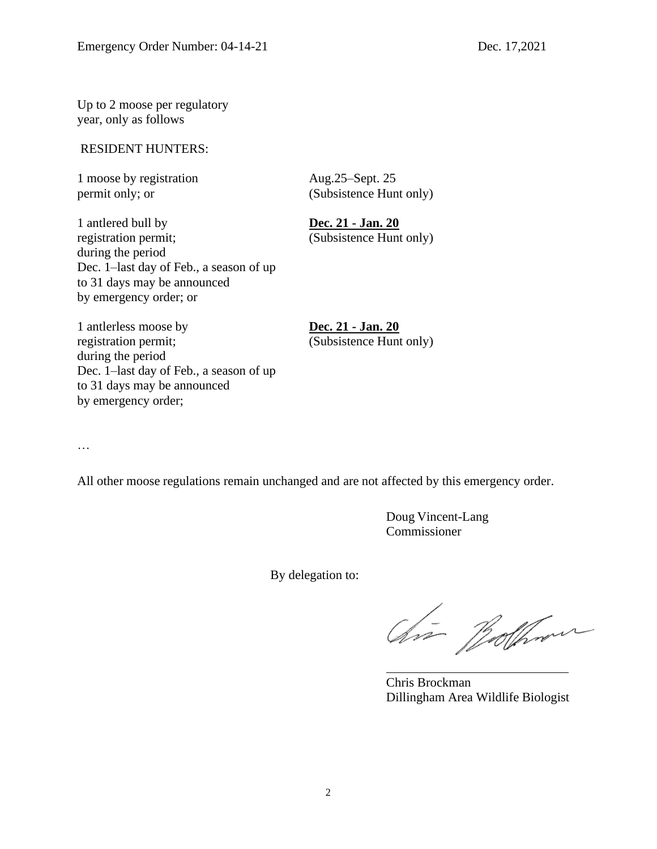Up to 2 moose per regulatory year, only as follows

#### RESIDENT HUNTERS:

1 moose by registration Aug.25–Sept. 25 permit only; or (Subsistence Hunt only)

1 antlered bull by **Dec. 21 - Jan. 20** registration permit; (Subsistence Hunt only) during the period Dec. 1–last day of Feb., a season of up to 31 days may be announced by emergency order; or

1 antlerless moose by **Dec. 21 - Jan. 20** registration permit; (Subsistence Hunt only) during the period Dec. 1–last day of Feb., a season of up to 31 days may be announced by emergency order;

…

All other moose regulations remain unchanged and are not affected by this emergency order.

Doug Vincent-Lang Commissioner

By delegation to:

Chia Bolhom

Chris Brockman Dillingham Area Wildlife Biologist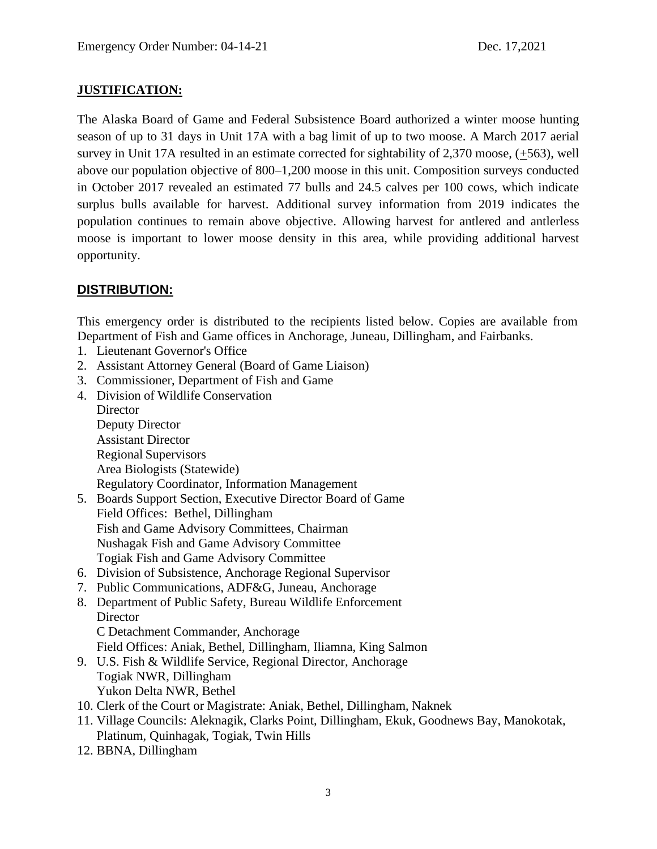#### **JUSTIFICATION:**

The Alaska Board of Game and Federal Subsistence Board authorized a winter moose hunting season of up to 31 days in Unit 17A with a bag limit of up to two moose. A March 2017 aerial survey in Unit 17A resulted in an estimate corrected for sightability of 2,370 moose, (+563), well above our population objective of 800–1,200 moose in this unit. Composition surveys conducted in October 2017 revealed an estimated 77 bulls and 24.5 calves per 100 cows, which indicate surplus bulls available for harvest. Additional survey information from 2019 indicates the population continues to remain above objective. Allowing harvest for antlered and antlerless moose is important to lower moose density in this area, while providing additional harvest opportunity.

#### **DISTRIBUTION:**

This emergency order is distributed to the recipients listed below. Copies are available from Department of Fish and Game offices in Anchorage, Juneau, Dillingham, and Fairbanks.

- 1. Lieutenant Governor's Office
- 2. Assistant Attorney General (Board of Game Liaison)
- 3. Commissioner, Department of Fish and Game
- 4. Division of Wildlife Conservation **Director** Deputy Director Assistant Director Regional Supervisors Area Biologists (Statewide) Regulatory Coordinator, Information Management
- 5. Boards Support Section, Executive Director Board of Game Field Offices: Bethel, Dillingham Fish and Game Advisory Committees, Chairman Nushagak Fish and Game Advisory Committee Togiak Fish and Game Advisory Committee
- 6. Division of Subsistence, Anchorage Regional Supervisor
- 7. Public Communications, ADF&G, Juneau, Anchorage
- 8. Department of Public Safety, Bureau Wildlife Enforcement **Director** C Detachment Commander, Anchorage
	- Field Offices: Aniak, Bethel, Dillingham, Iliamna, King Salmon
- 9. U.S. Fish & Wildlife Service, Regional Director, Anchorage Togiak NWR, Dillingham Yukon Delta NWR, Bethel
- 10. Clerk of the Court or Magistrate: Aniak, Bethel, Dillingham, Naknek
- 11. Village Councils: Aleknagik, Clarks Point, Dillingham, Ekuk, Goodnews Bay, Manokotak, Platinum, Quinhagak, Togiak, Twin Hills
- 12. BBNA, Dillingham